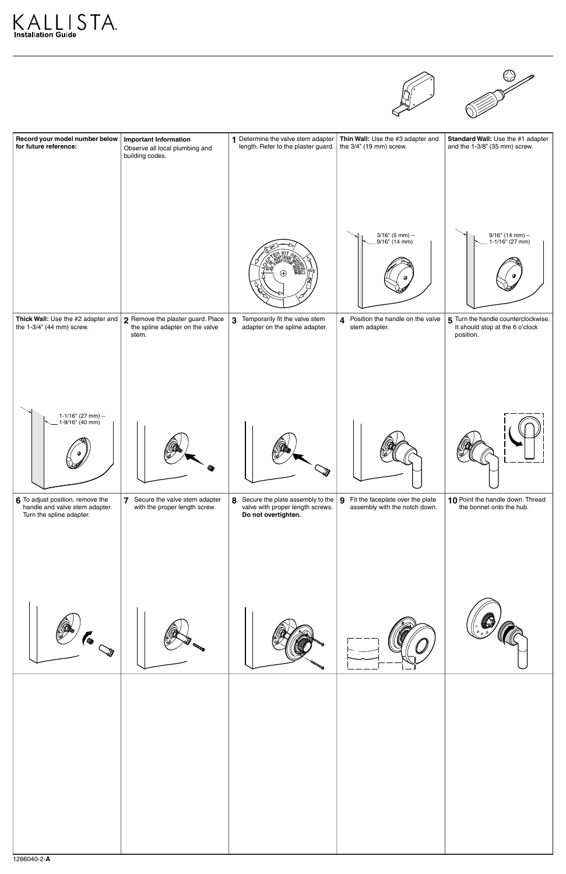





| Record your model number below<br>for future reference:                                                                                  | <b>Important Information</b><br>Observe all local plumbing and<br>building codes. | 1 Determine the valve stem adapter<br>length. Refer to the plaster guard.                     | Thin Wall: Use the #3 adapter and<br>the 3/4" (19 mm) screw.                           | Standard Wall: Use the #1 adapter<br>and the 1-3/8" (35 mm) screw.                                                          |
|------------------------------------------------------------------------------------------------------------------------------------------|-----------------------------------------------------------------------------------|-----------------------------------------------------------------------------------------------|----------------------------------------------------------------------------------------|-----------------------------------------------------------------------------------------------------------------------------|
| Thick Wall: Use the #2 adapter and<br>the 1-3/4" (44 mm) screw.                                                                          | 2 Remove the plaster guard. Place<br>the spline adapter on the valve<br>stem.     | $\mathbf{3}$<br>Temporarily fit the valve stem<br>adapter on the spline adapter.              | 3/16" (5 mm) –<br>9/16" (14 mm)<br>4 Position the handle on the valve<br>stem adapter. | 9/16" (14 mm) –<br>. 1-1/16" (27 mm)<br>5 Turn the handle counterclockwise.<br>It should stop at the 6 o'clock<br>position. |
| 1-1/16" (27 mm) –<br>. 1-9/16" (40 mm)<br>6 To adjust position, remove the<br>handle and valve stem adapter.<br>Turn the spline adapter. | 7 Secure the valve stem adapter<br>with the proper length screw.                  | 8 Secure the plate assembly to the<br>valve with proper length screws.<br>Do not overtighten. | Fit the faceplate over the plate<br><u>g</u><br>assembly with the notch down.          | 10 Point the handle down. Thread<br>the bonnet onto the hub.                                                                |
|                                                                                                                                          |                                                                                   |                                                                                               |                                                                                        |                                                                                                                             |
|                                                                                                                                          |                                                                                   |                                                                                               |                                                                                        |                                                                                                                             |